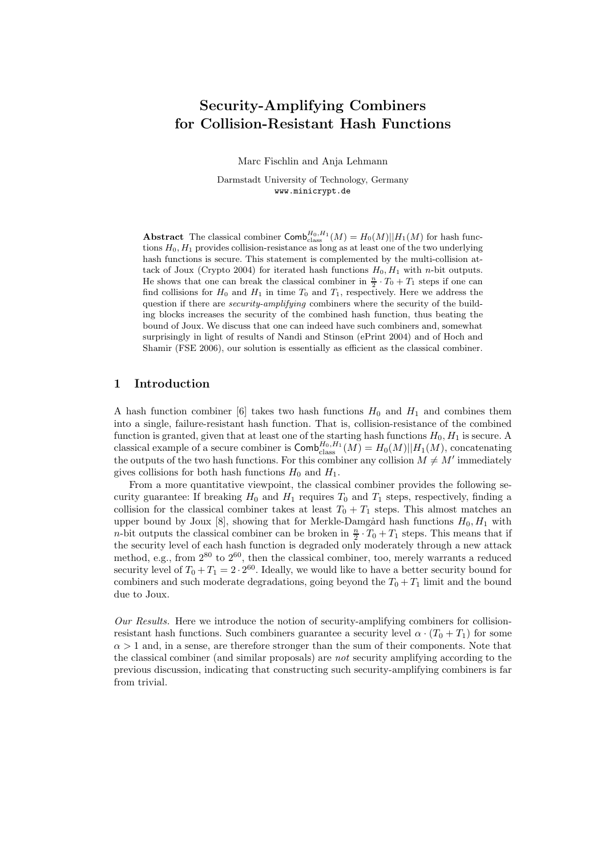# Security-Amplifying Combiners for Collision-Resistant Hash Functions

Marc Fischlin and Anja Lehmann

Darmstadt University of Technology, Germany www.minicrypt.de

Abstract The classical combiner  $\textsf{Comb}^{H_0,H_1}_{\text{class}}(M) = H_0(M)||H_1(M)$  for hash functions  $H_0, H_1$  provides collision-resistance as long as at least one of the two underlying hash functions is secure. This statement is complemented by the multi-collision attack of Joux (Crypto 2004) for iterated hash functions  $H_0, H_1$  with n-bit outputs. He shows that one can break the classical combiner in  $\frac{n}{2} \cdot T_0 + T_1$  steps if one can find collisions for  $H_0$  and  $H_1$  in time  $T_0$  and  $T_1$ , respectively. Here we address the question if there are *security-amplifying* combiners where the security of the building blocks increases the security of the combined hash function, thus beating the bound of Joux. We discuss that one can indeed have such combiners and, somewhat surprisingly in light of results of Nandi and Stinson (ePrint 2004) and of Hoch and Shamir (FSE 2006), our solution is essentially as efficient as the classical combiner.

### 1 Introduction

A hash function combiner [6] takes two hash functions  $H_0$  and  $H_1$  and combines them into a single, failure-resistant hash function. That is, collision-resistance of the combined function is granted, given that at least one of the starting hash functions  $H_0, H_1$  is secure. A classical example of a secure combiner is  $\textsf{Comb}^{H_0, H_1}_{\text{class}}(M) = H_0(M)||H_1(M)$ , concatenating the outputs of the two hash functions. For this combiner any collision  $M \neq M'$  immediately gives collisions for both hash functions  $H_0$  and  $H_1$ .

From a more quantitative viewpoint, the classical combiner provides the following security guarantee: If breaking  $H_0$  and  $H_1$  requires  $T_0$  and  $T_1$  steps, respectively, finding a collision for the classical combiner takes at least  $T_0 + T_1$  steps. This almost matches an upper bound by Joux [8], showing that for Merkle-Damgård hash functions  $H_0, H_1$  with *n*-bit outputs the classical combiner can be broken in  $\frac{n}{2} \cdot T_0 + T_1$  steps. This means that if the security level of each hash function is degraded only moderately through a new attack method, e.g., from  $2^{80}$  to  $2^{60}$ , then the classical combiner, too, merely warrants a reduced security level of  $T_0 + T_1 = 2 \cdot 2^{60}$ . Ideally, we would like to have a better security bound for combiners and such moderate degradations, going beyond the  $T_0 + T_1$  limit and the bound due to Joux.

Our Results. Here we introduce the notion of security-amplifying combiners for collisionresistant hash functions. Such combiners guarantee a security level  $\alpha \cdot (T_0 + T_1)$  for some  $\alpha > 1$  and, in a sense, are therefore stronger than the sum of their components. Note that the classical combiner (and similar proposals) are not security amplifying according to the previous discussion, indicating that constructing such security-amplifying combiners is far from trivial.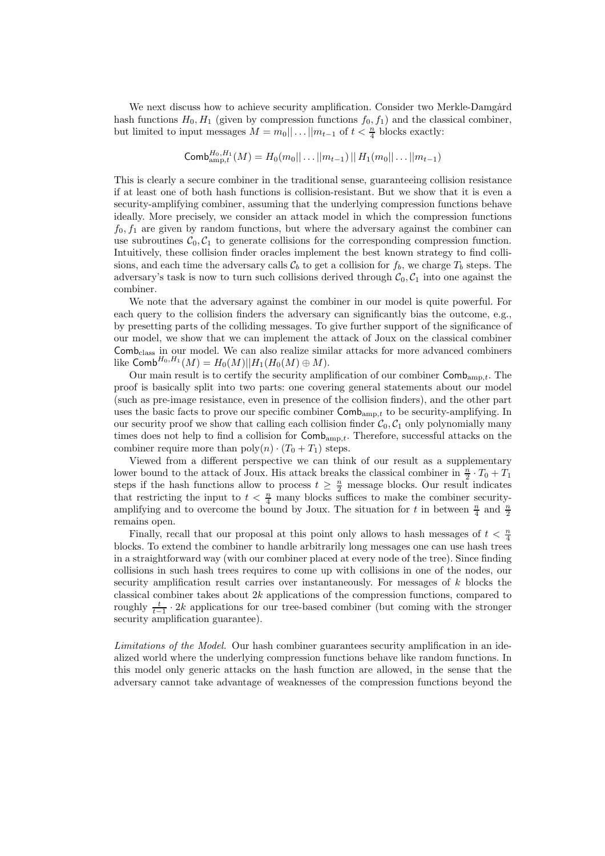We next discuss how to achieve security amplification. Consider two Merkle-Damgård hash functions  $H_0, H_1$  (given by compression functions  $f_0, f_1$ ) and the classical combiner, but limited to input messages  $M = m_0 || \dots || m_{t-1}$  of  $t < \frac{n}{4}$  blocks exactly:

$$
\textsf{Comb}_{\text{amp},t}^{H_0,H_1}(M) = H_0(m_0||\dots||m_{t-1}) || H_1(m_0||\dots||m_{t-1})
$$

This is clearly a secure combiner in the traditional sense, guaranteeing collision resistance if at least one of both hash functions is collision-resistant. But we show that it is even a security-amplifying combiner, assuming that the underlying compression functions behave ideally. More precisely, we consider an attack model in which the compression functions  $f_0, f_1$  are given by random functions, but where the adversary against the combiner can use subroutines  $C_0, C_1$  to generate collisions for the corresponding compression function. Intuitively, these collision finder oracles implement the best known strategy to find collisions, and each time the adversary calls  $\mathcal{C}_b$  to get a collision for  $f_b$ , we charge  $T_b$  steps. The adversary's task is now to turn such collisions derived through  $C_0, C_1$  into one against the combiner.

We note that the adversary against the combiner in our model is quite powerful. For each query to the collision finders the adversary can significantly bias the outcome, e.g., by presetting parts of the colliding messages. To give further support of the significance of our model, we show that we can implement the attack of Joux on the classical combiner Comb<sub>class</sub> in our model. We can also realize similar attacks for more advanced combiners like  $\mathsf{Comb}^{H_0,H_1}(M) = H_0(M) || H_1(H_0(M) \oplus M).$ 

Our main result is to certify the security amplification of our combiner  $\mathsf{Comb}_{\text{amp},t}$ . The proof is basically split into two parts: one covering general statements about our model (such as pre-image resistance, even in presence of the collision finders), and the other part uses the basic facts to prove our specific combiner  $\textsf{Comb}_{amp,t}$  to be security-amplifying. In our security proof we show that calling each collision finder  $C_0$ ,  $C_1$  only polynomially many times does not help to find a collision for  $\textsf{Comb}_{amp,t}$ . Therefore, successful attacks on the combiner require more than  $\text{poly}(n) \cdot (T_0 + T_1)$  steps.

Viewed from a different perspective we can think of our result as a supplementary lower bound to the attack of Joux. His attack breaks the classical combiner in  $\frac{n}{2} \cdot T_0 + T_1$ steps if the hash functions allow to process  $t \geq \frac{n}{2}$  message blocks. Our result indicates that restricting the input to  $t < \frac{n}{4}$  many blocks suffices to make the combiner securityamplifying and to overcome the bound by Joux. The situation for t in between  $\frac{n}{4}$  and  $\frac{n}{2}$ remains open.

Finally, recall that our proposal at this point only allows to hash messages of  $t < \frac{n}{4}$ blocks. To extend the combiner to handle arbitrarily long messages one can use hash trees in a straightforward way (with our combiner placed at every node of the tree). Since finding collisions in such hash trees requires to come up with collisions in one of the nodes, our security amplification result carries over instantaneously. For messages of  $k$  blocks the classical combiner takes about  $2k$  applications of the compression functions, compared to roughly  $\frac{t}{t-1} \cdot 2k$  applications for our tree-based combiner (but coming with the stronger security amplification guarantee).

Limitations of the Model. Our hash combiner guarantees security amplification in an idealized world where the underlying compression functions behave like random functions. In this model only generic attacks on the hash function are allowed, in the sense that the adversary cannot take advantage of weaknesses of the compression functions beyond the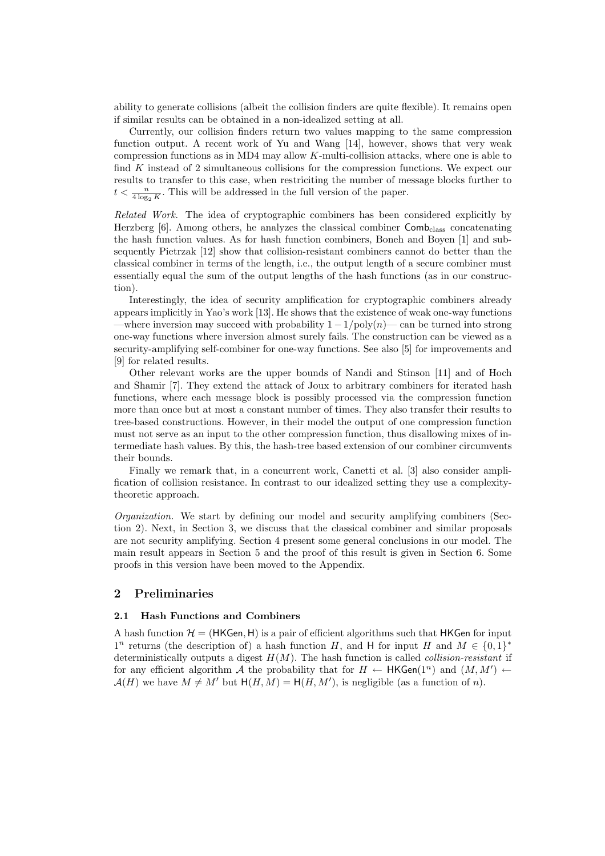ability to generate collisions (albeit the collision finders are quite flexible). It remains open if similar results can be obtained in a non-idealized setting at all.

Currently, our collision finders return two values mapping to the same compression function output. A recent work of Yu and Wang [14], however, shows that very weak compression functions as in MD4 may allow K-multi-collision attacks, where one is able to find K instead of 2 simultaneous collisions for the compression functions. We expect our results to transfer to this case, when restriciting the number of message blocks further to  $t < \frac{n}{4 \log_2 K}$ . This will be addressed in the full version of the paper.

Related Work. The idea of cryptographic combiners has been considered explicitly by Herzberg  $[6]$ . Among others, he analyzes the classical combiner  $Comb_{class}$  concatenating the hash function values. As for hash function combiners, Boneh and Boyen [1] and subsequently Pietrzak [12] show that collision-resistant combiners cannot do better than the classical combiner in terms of the length, i.e., the output length of a secure combiner must essentially equal the sum of the output lengths of the hash functions (as in our construction).

Interestingly, the idea of security amplification for cryptographic combiners already appears implicitly in Yao's work [13]. He shows that the existence of weak one-way functions —where inversion may succeed with probability  $1 - 1/\text{poly}(n)$ — can be turned into strong one-way functions where inversion almost surely fails. The construction can be viewed as a security-amplifying self-combiner for one-way functions. See also [5] for improvements and [9] for related results.

Other relevant works are the upper bounds of Nandi and Stinson [11] and of Hoch and Shamir [7]. They extend the attack of Joux to arbitrary combiners for iterated hash functions, where each message block is possibly processed via the compression function more than once but at most a constant number of times. They also transfer their results to tree-based constructions. However, in their model the output of one compression function must not serve as an input to the other compression function, thus disallowing mixes of intermediate hash values. By this, the hash-tree based extension of our combiner circumvents their bounds.

Finally we remark that, in a concurrent work, Canetti et al. [3] also consider amplification of collision resistance. In contrast to our idealized setting they use a complexitytheoretic approach.

Organization. We start by defining our model and security amplifying combiners (Section 2). Next, in Section 3, we discuss that the classical combiner and similar proposals are not security amplifying. Section 4 present some general conclusions in our model. The main result appears in Section 5 and the proof of this result is given in Section 6. Some proofs in this version have been moved to the Appendix.

## 2 Preliminaries

#### 2.1 Hash Functions and Combiners

A hash function  $\mathcal{H} = (HKGen, H)$  is a pair of efficient algorithms such that HKGen for input  $1^n$  returns (the description of) a hash function H, and H for input H and  $M \in \{0,1\}^*$ deterministically outputs a digest  $H(M)$ . The hash function is called *collision-resistant* if for any efficient algorithm A the probability that for  $H \leftarrow \mathsf{HKGen}(1^n)$  and  $(M, M') \leftarrow$  $\mathcal{A}(H)$  we have  $M \neq M'$  but  $H(H, M) = H(H, M')$ , is negligible (as a function of n).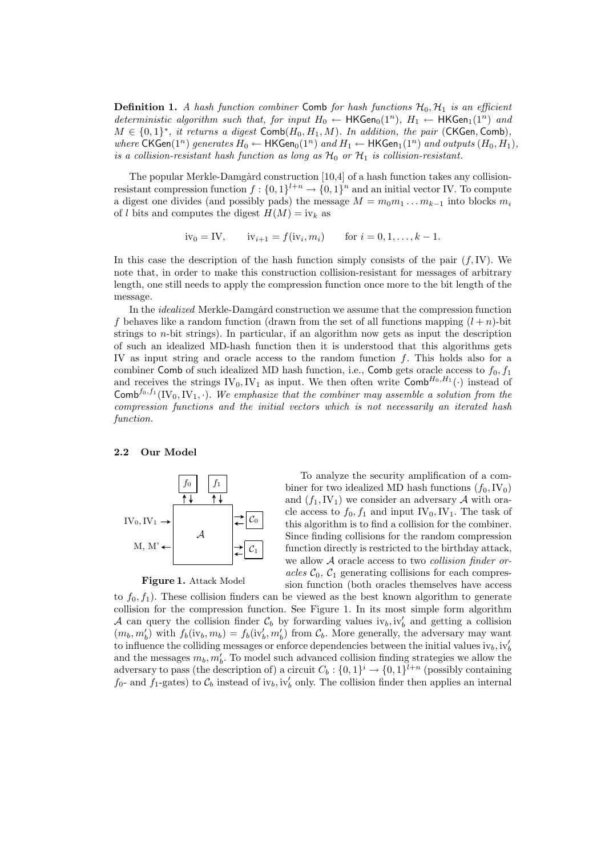**Definition 1.** A hash function combiner Comb for hash functions  $\mathcal{H}_0$ ,  $\mathcal{H}_1$  is an efficient deterministic algorithm such that, for input  $H_0 \leftarrow \mathsf{HKGen}_0(1^n)$ ,  $H_1 \leftarrow \mathsf{HKGen}_1(1^n)$  and  $M \in \{0,1\}^*$ , it returns a digest  $\textsf{Comb}(H_0,H_1,M)$ . In addition, the pair (CKGen, Comb), where CKGen(1<sup>n</sup>) generates  $H_0 \leftarrow \text{HKGen}_0(1^n)$  and  $H_1 \leftarrow \text{HKGen}_1(1^n)$  and outputs  $(H_0, H_1)$ , is a collision-resistant hash function as long as  $\mathcal{H}_0$  or  $\mathcal{H}_1$  is collision-resistant.

The popular Merkle-Damgård construction  $[10,4]$  of a hash function takes any collisionresistant compression function  $f: \{0,1\}^{l+n} \to \{0,1\}^n$  and an initial vector IV. To compute a digest one divides (and possibly pads) the message  $M = m_0 m_1 \dots m_{k-1}$  into blocks  $m_i$ of l bits and computes the digest  $H(M) = i v_k$  as

$$
iv_0 = IV
$$
,  $iv_{i+1} = f(iv_i, m_i)$  for  $i = 0, 1, ..., k - 1$ .

In this case the description of the hash function simply consists of the pair  $(f, IV)$ . We note that, in order to make this construction collision-resistant for messages of arbitrary length, one still needs to apply the compression function once more to the bit length of the message.

In the *idealized* Merkle-Damgård construction we assume that the compression function f behaves like a random function (drawn from the set of all functions mapping  $(l + n)$ -bit strings to *n*-bit strings). In particular, if an algorithm now gets as input the description of such an idealized MD-hash function then it is understood that this algorithms gets IV as input string and oracle access to the random function f. This holds also for a combiner Comb of such idealized MD hash function, i.e., Comb gets oracle access to  $f_0$ ,  $f_1$ and receives the strings  $IV_0, IV_1$  as input. We then often write  $\textsf{Comb}^{H_0, H_1}(\cdot)$  instead of Comb<sup>fo,f<sub>1</sub></sub>(IV<sub>0</sub>, IV<sub>1</sub>, ·). We emphasize that the combiner may assemble a solution from the</sup> compression functions and the initial vectors which is not necessarily an iterated hash function.

#### 2.2 Our Model



#### Figure 1. Attack Model

To analyze the security amplification of a combiner for two idealized MD hash functions  $(f_0, IV_0)$ and  $(f_1, IV_1)$  we consider an adversary A with oracle access to  $f_0, f_1$  and input IV<sub>0</sub>, IV<sub>1</sub>. The task of this algorithm is to find a collision for the combiner. Since finding collisions for the random compression function directly is restricted to the birthday attack, we allow A oracle access to two *collision finder or*acles  $C_0$ ,  $C_1$  generating collisions for each compression function (both oracles themselves have access

to  $f_0, f_1$ ). These collision finders can be viewed as the best known algorithm to generate collision for the compression function. See Figure 1. In its most simple form algorithm A can query the collision finder  $\mathcal{C}_b$  by forwarding values iv<sub>b</sub>, iv<sub>b</sub> and getting a collision  $(m_b, m'_b)$  with  $f_b(iv_b, m_b) = f_b(iv'_b, m'_b)$  from  $C_b$ . More generally, the adversary may want to influence the colliding messages or enforce dependencies between the initial values  $iv_b$ ,  $iv'_b$ and the messages  $m_b, m'_b$ . To model such advanced collision finding strategies we allow the adversary to pass (the description of) a circuit  $C_b: \{0,1\}^i \to \{0,1\}^{l+n}$  (possibly containing  $f_0$ - and  $f_1$ -gates) to  $\mathcal{C}_b$  instead of iv<sub>b</sub>, iv<sub>b</sub> only. The collision finder then applies an internal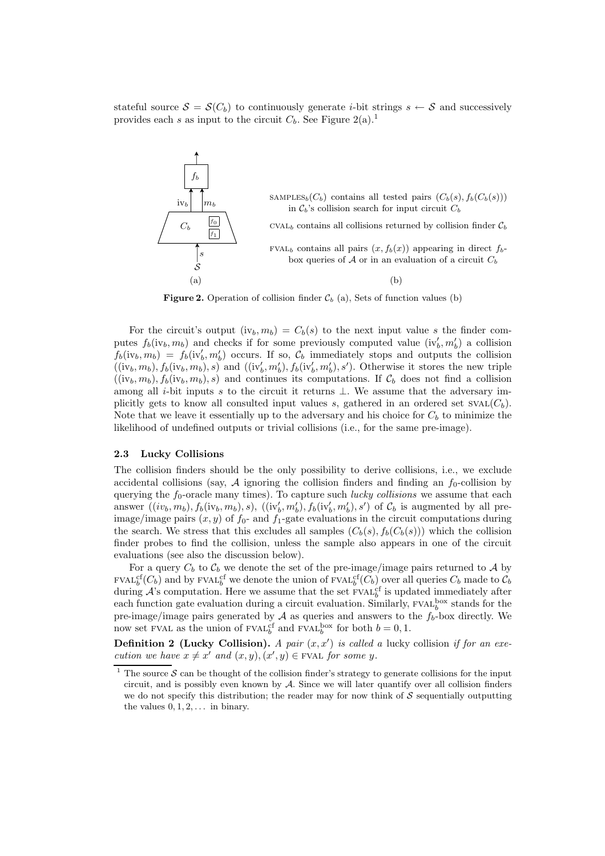stateful source  $S = S(C_b)$  to continuously generate *i*-bit strings  $s \leftarrow S$  and successively provides each s as input to the circuit  $C_b$ . See Figure 2(a).<sup>1</sup>



**Figure 2.** Operation of collision finder  $\mathcal{C}_b$  (a), Sets of function values (b)

For the circuit's output  $(iv_b, m_b) = C_b(s)$  to the next input value s the finder computes  $f_b(iv_b, m_b)$  and checks if for some previously computed value  $(iv'_b, m'_b)$  a collision  $f_b(iv_b, m_b) = f_b(iv'_b, m'_b)$  occurs. If so,  $\mathcal{C}_b$  immediately stops and outputs the collision  $((iv_b, m_b), f_b(iv_b, m_b), s)$  and  $((iv'_b, m'_b), f_b(iv'_b, m'_b), s')$ . Otherwise it stores the new triple  $((iv_b, m_b), f_b(iv_b, m_b), s)$  and continues its computations. If  $\mathcal{C}_b$  does not find a collision among all i-bit inputs s to the circuit it returns  $\perp$ . We assume that the adversary implicitly gets to know all consulted input values s, gathered in an ordered set  $SVAL(C_b)$ . Note that we leave it essentially up to the adversary and his choice for  $C_b$  to minimize the likelihood of undefined outputs or trivial collisions (i.e., for the same pre-image).

#### 2.3 Lucky Collisions

The collision finders should be the only possibility to derive collisions, i.e., we exclude accidental collisions (say,  $\mathcal A$  ignoring the collision finders and finding an  $f_0$ -collision by querying the  $f_0$ -oracle many times). To capture such *lucky collisions* we assume that each answer  $((iv_b, m_b), f_b(iv_b, m_b), s), ((iv'_b, m'_b), f_b(iv'_b, m'_b), s')$  of  $\mathcal{C}_b$  is augmented by all preimage/image pairs  $(x, y)$  of  $f_0$ - and  $f_1$ -gate evaluations in the circuit computations during the search. We stress that this excludes all samples  $(C_b(s), f_b(C_b(s)))$  which the collision finder probes to find the collision, unless the sample also appears in one of the circuit evaluations (see also the discussion below).

For a query  $C_b$  to  $\mathcal{C}_b$  we denote the set of the pre-image/image pairs returned to A by  $\text{FVAL}_{b}^{cf}(C_b)$  and by  $\text{FVAL}_{b}^{cf}$  we denote the union of  $\text{FVAL}_{b}^{cf}(C_b)$  over all queries  $C_b$  made to  $C_b$ during  $\mathcal{A}$ 's computation. Here we assume that the set FVAL<sup>cf</sup> is updated immediately after each function gate evaluation during a circuit evaluation. Similarly,  $\text{FVAL}_{b}^{\text{box}}$  stands for the pre-image/image pairs generated by  $A$  as queries and answers to the  $f_b$ -box directly. We now set FVAL as the union of FVAL<sup>6</sup> and FVAL<sup>box</sup> for both  $b = 0, 1$ .

**Definition 2 (Lucky Collision).** A pair  $(x, x')$  is called a lucky collision if for an execution we have  $x \neq x'$  and  $(x, y), (x', y) \in$  FVAL for some y.

The source  $\mathcal S$  can be thought of the collision finder's strategy to generate collisions for the input circuit, and is possibly even known by  $A$ . Since we will later quantify over all collision finders we do not specify this distribution; the reader may for now think of  $S$  sequentially outputting the values  $0, 1, 2, \ldots$  in binary.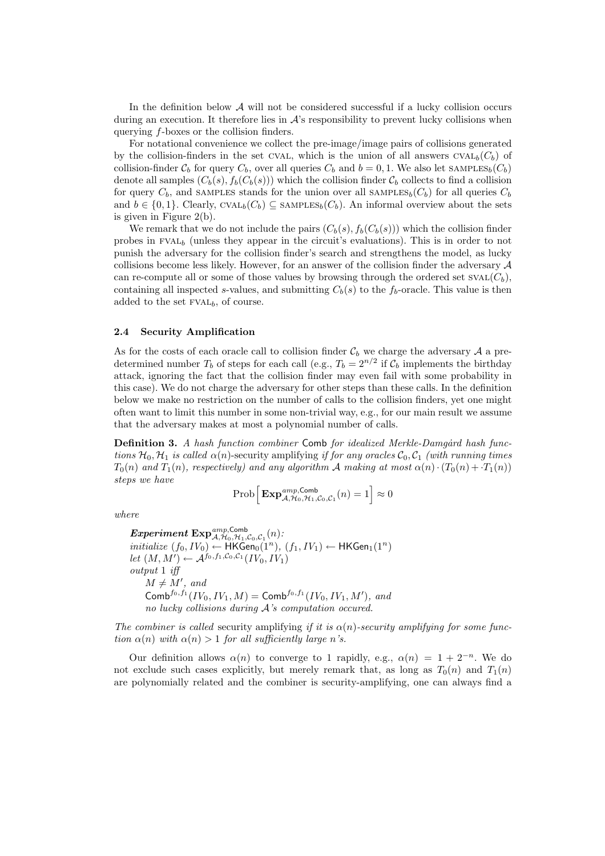In the definition below  $A$  will not be considered successful if a lucky collision occurs during an execution. It therefore lies in  $\mathcal{A}$ 's responsibility to prevent lucky collisions when querying f-boxes or the collision finders.

For notational convenience we collect the pre-image/image pairs of collisions generated by the collision-finders in the set CVAL, which is the union of all answers  $\text{CVAL}_b(C_b)$  of collision-finder  $C_b$  for query  $C_b$ , over all queries  $C_b$  and  $b = 0, 1$ . We also let SAMPLES<sub>b</sub>( $C_b$ ) denote all samples  $(C_b(s), f_b(C_b(s)))$  which the collision finder  $\mathcal{C}_b$  collects to find a collision for query  $C_b$ , and SAMPLES stands for the union over all SAMPLES<sub>b</sub>( $C_b$ ) for all queries  $C_b$ and  $b \in \{0,1\}$ . Clearly, CVAL<sub>b</sub>( $C_b$ )  $\subseteq$  SAMPLES<sub>b</sub>( $C_b$ ). An informal overview about the sets is given in Figure 2(b).

We remark that we do not include the pairs  $(C_b(s), f_b(C_b(s)))$  which the collision finder probes in  $FVAL_{b}$  (unless they appear in the circuit's evaluations). This is in order to not punish the adversary for the collision finder's search and strengthens the model, as lucky collisions become less likely. However, for an answer of the collision finder the adversary A can re-compute all or some of those values by browsing through the ordered set  $SVAL(C_b)$ , containing all inspected s-values, and submitting  $C_b(s)$  to the f<sub>b</sub>-oracle. This value is then added to the set  $FVAL_{b}$ , of course.

#### 2.4 Security Amplification

As for the costs of each oracle call to collision finder  $\mathcal{C}_b$  we charge the adversary  $\mathcal A$  a predetermined number  $T_b$  of steps for each call (e.g.,  $T_b = 2^{n/2}$  if  $C_b$  implements the birthday attack, ignoring the fact that the collision finder may even fail with some probability in this case). We do not charge the adversary for other steps than these calls. In the definition below we make no restriction on the number of calls to the collision finders, yet one might often want to limit this number in some non-trivial way, e.g., for our main result we assume that the adversary makes at most a polynomial number of calls.

**Definition 3.** A hash function combiner Comb for idealized Merkle-Damgard hash functions  $\mathcal{H}_0$ ,  $\mathcal{H}_1$  is called  $\alpha(n)$ -security amplifying if for any oracles  $\mathcal{C}_0$ ,  $\mathcal{C}_1$  (with running times  $T_0(n)$  and  $T_1(n)$ , respectively) and any algorithm A making at most  $\alpha(n) \cdot (T_0(n) + T_1(n))$ steps we have

$$
\mathop{\rm Prob}\Big[\mathop{\rm Exp}\nolimits_{{\mathcal A},{\mathcal H}_0,{\mathcal H}_1,{\mathcal C}_0,{\mathcal C}_1}^{{\mathit{amp}},\mathsf{Comb}}(n)=1\Big]\approx 0
$$

where

 ${\bm Experiment ~{\rm Exp}}^{\rm amp, Comb}_{\mathcal A,\mathcal H_0,\mathcal H_1,\mathcal C_0,\mathcal C_1}(n)$  :  $\textit{initialize } (f_0, IV_0) \leftarrow \textsf{HKGen}_0(1^n), (f_1, IV_1) \leftarrow \textsf{HKGen}_1(1^n)$ let  $(M, M') \leftarrow \mathcal{A}^{f_0, f_1, \mathcal{C}_0, \mathcal{C}_1} (IV_0, IV_1)$ output 1 iff  $M \neq M'$ , and Comb<sup>f<sub>0</sub>,f<sub>1</sub></sub> (*IV*<sub>0</sub>, *IV*<sub>1</sub>, *M*) = Comb<sup>f<sub>0</sub>,f<sub>1</sub></sub> (*IV*<sub>0</sub>, *IV*<sub>1</sub>, *M'*), and</sup></sup> no lucky collisions during A's computation occured.

The combiner is called security amplifying if it is  $\alpha(n)$ -security amplifying for some function  $\alpha(n)$  with  $\alpha(n) > 1$  for all sufficiently large n's.

Our definition allows  $\alpha(n)$  to converge to 1 rapidly, e.g.,  $\alpha(n) = 1 + 2^{-n}$ . We do not exclude such cases explicitly, but merely remark that, as long as  $T_0(n)$  and  $T_1(n)$ are polynomially related and the combiner is security-amplifying, one can always find a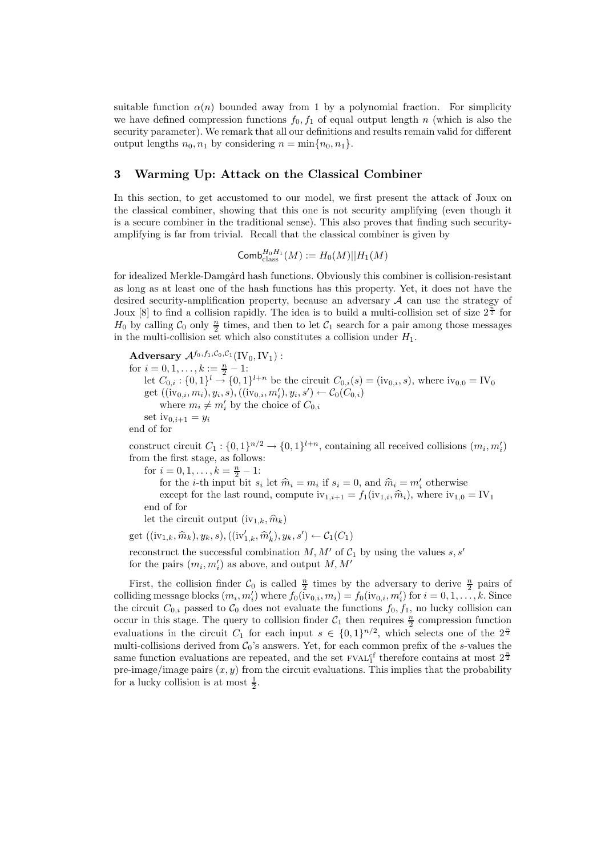suitable function  $\alpha(n)$  bounded away from 1 by a polynomial fraction. For simplicity we have defined compression functions  $f_0, f_1$  of equal output length n (which is also the security parameter). We remark that all our definitions and results remain valid for different output lengths  $n_0, n_1$  by considering  $n = \min\{n_0, n_1\}.$ 

# 3 Warming Up: Attack on the Classical Combiner

In this section, to get accustomed to our model, we first present the attack of Joux on the classical combiner, showing that this one is not security amplifying (even though it is a secure combiner in the traditional sense). This also proves that finding such securityamplifying is far from trivial. Recall that the classical combiner is given by

$$
\mathsf{Comb}^{H_0H_1}_{\text{class}}(M) := H_0(M)||H_1(M)
$$

for idealized Merkle-Damgård hash functions. Obviously this combiner is collision-resistant as long as at least one of the hash functions has this property. Yet, it does not have the desired security-amplification property, because an adversary A can use the strategy of Joux [8] to find a collision rapidly. The idea is to build a multi-collision set of size  $2^{\frac{n}{2}}$  for  $H_0$  by calling  $C_0$  only  $\frac{n}{2}$  times, and then to let  $C_1$  search for a pair among those messages in the multi-collision set which also constitutes a collision under  $H_1$ .

Adversary  $\mathcal{A}^{f_0,f_1,\mathcal{C}_0,\mathcal{C}_1}(\text{IV}_0,\text{IV}_1)$ : for  $i = 0, 1, \ldots, k := \frac{n}{2} - 1$ : let  $C_{0,i}$ :  $\{0,1\}^{l} \to \{0,1\}^{l+n}$  be the circuit  $C_{0,i}(s) = (iv_{0,i}, s)$ , where  $iv_{0,0} = IV_0$ get  $((iv_{0,i}, m_i), y_i, s),((iv_{0,i}, m'_i), y_i, s') \leftarrow \mathcal{C}_0(\hat{C}_{0,i})$ where  $m_i \neq m'_i$  by the choice of  $C_{0,i}$ set  $iv_{0,i+1} = y_i$ end of for

construct circuit  $C_1: \{0,1\}^{n/2} \to \{0,1\}^{l+n}$ , containing all received collisions  $(m_i, m'_i)$ from the first stage, as follows:

for  $i = 0, 1, \ldots, k = \frac{n}{2} - 1$ :

for the *i*-th input bit  $s_i$  let  $\hat{m}_i = m_i$  if  $s_i = 0$ , and  $\hat{m}_i = m'_i$  otherwise except for the last round, compute  $iv_{1,i+1} = f_1(iv_{1,i}, \hat{m}_i)$ , where  $iv_{1,0} = IV_1$ end of for

let the circuit output  $(iv_{1,k}, \hat{m}_k)$ 

get 
$$
((iv_{1,k}, \hat{m}_k), y_k, s), ((iv'_{1,k}, \hat{m}'_k), y_k, s') \leftarrow C_1(C_1)
$$

reconstruct the successful combination  $M, M'$  of  $C_1$  by using the values s, s' for the pairs  $(m_i, m'_i)$  as above, and output  $M, M'$ 

First, the collision finder  $C_0$  is called  $\frac{n}{2}$  times by the adversary to derive  $\frac{n}{2}$  pairs of colliding message blocks  $(m_i, m'_i)$  where  $f_0(i_{v0,i}, m_i) = f_0(i_{v0,i}, m'_i)$  for  $i = 0, 1, \ldots, k$ . Since the circuit  $C_{0,i}$  passed to  $C_0$  does not evaluate the functions  $f_0, f_1$ , no lucky collision can occur in this stage. The query to collision finder  $C_1$  then requires  $\frac{n}{2}$  compression function evaluations in the circuit  $C_1$  for each input  $s \in \{0,1\}^{n/2}$ , which selects one of the  $2^{\frac{n}{2}}$ multi-collisions derived from  $C_0$ 's answers. Yet, for each common prefix of the s-values the same function evaluations are repeated, and the set  $\text{FVAL}^{\text{cf}}$  therefore contains at most  $2^{\frac{n}{2}}$ pre-image/image pairs  $(x, y)$  from the circuit evaluations. This implies that the probability for a lucky collision is at most  $\frac{1}{2}$ .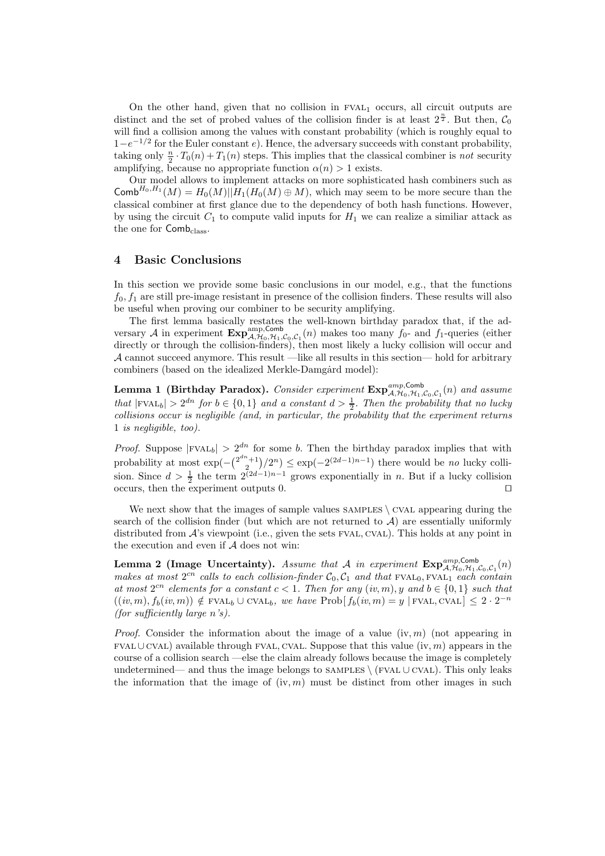On the other hand, given that no collision in  $FVAL_1$  occurs, all circuit outputs are distinct and the set of probed values of the collision finder is at least  $2^{\frac{n}{2}}$ . But then,  $C_0$ will find a collision among the values with constant probability (which is roughly equal to  $1-e^{-1/2}$  for the Euler constant e). Hence, the adversary succeeds with constant probability, taking only  $\frac{n}{2} \cdot T_0(n) + T_1(n)$  steps. This implies that the classical combiner is *not* security amplifying, because no appropriate function  $\alpha(n) > 1$  exists.

Our model allows to implement attacks on more sophisticated hash combiners such as Comb<sup>H<sub>0</sub>,H<sub>1</sub></sub> ( $M$ ) = H<sub>0</sub>( $M$ )||H<sub>1</sub>(H<sub>0</sub>( $M$ )  $\oplus$  M), which may seem to be more secure than the</sup> classical combiner at first glance due to the dependency of both hash functions. However, by using the circuit  $C_1$  to compute valid inputs for  $H_1$  we can realize a similiar attack as the one for Comb<sub>class</sub>.

## 4 Basic Conclusions

In this section we provide some basic conclusions in our model, e.g., that the functions  $f_0, f_1$  are still pre-image resistant in presence of the collision finders. These results will also be useful when proving our combiner to be security amplifying.

The first lemma basically restates the well-known birthday paradox that, if the adversary  $\mathcal A$  in experiment  $\text{Exp}_{\mathcal A, \mathcal H_0, \mathcal H_1, \mathcal C_0, \mathcal C_1}(n)$  makes too many  $f_0$ - and  $f_1$ -queries (either directly or through the collision-finders), then most likely a lucky collision will occur and  $\mathcal A$  cannot succeed anymore. This result —like all results in this section— hold for arbitrary combiners (based on the idealized Merkle-Damgard model):

**Lemma 1 (Birthday Paradox).** Consider experiment  $\text{Exp}_{\mathcal{A},\mathcal{H}_0,\mathcal{H}_1,\mathcal{C}_0,\mathcal{C}_1}(n)$  and assume that  $|FVAL_{b}| > 2^{dn}$  for  $b \in \{0, 1\}$  and a constant  $d > \frac{1}{2}$ . Then the probability that no lucky  $collisions\ occur\ is\ negligible\ (and,\ in\ particular,\ the\ probability\ that\ the\ experiment\ returns$ 1 is negligible, too).

*Proof.* Suppose  $|FVAL_{b}| > 2^{dn}$  for some b. Then the birthday paradox implies that with probability at most  $\exp(-\binom{2^{dn}+1}{2}/2^n) \leq \exp(-2^{(2d-1)n-1})$  there would be no lucky collision. Since  $d > \frac{1}{2}$  the term  $2^{\sqrt{2}d-1}n-1$  grows exponentially in n. But if a lucky collision occurs, then the experiment outputs 0. ⊓⊔

We next show that the images of sample values  $S$  AMPLES  $\setminus$  CVAL appearing during the search of the collision finder (but which are not returned to  $A$ ) are essentially uniformly distributed from  $\mathcal{A}$ 's viewpoint (i.e., given the sets FVAL, CVAL). This holds at any point in the execution and even if A does not win:

**Lemma 2 (Image Uncertainty).** Assume that A in experiment  $\mathbf{Exp}_{\mathcal{A},\mathcal{H}_0,\mathcal{H}_1,\mathcal{C}_0,\mathcal{C}_1}(n)$ makes at most  $2^{cn}$  calls to each collision-finder  $C_0, C_1$  and that FVAL<sub>0</sub>, FVAL<sub>1</sub> each contain at most  $2^{cn}$  elements for a constant  $c < 1$ . Then for any  $(iv, m)$ , y and  $b \in \{0, 1\}$  such that  $((iv, m), f_b(iv, m)) \notin \text{FVAL}_b \cup \text{CVAL}_b$ , we have  $\text{Prob}[ f_b(iv, m) = y \mid \text{FVAL}, \text{CVAL} \leq 2 \cdot 2^{-n}$ (for sufficiently large n's).

*Proof.* Consider the information about the image of a value  $(iv, m)$  (not appearing in fval∪cval) available through fval, cval. Suppose that this value (iv, m) appears in the course of a collision search —else the claim already follows because the image is completely undetermined— and thus the image belongs to SAMPLES \ (FVAL ∪ CVAL). This only leaks the information that the image of  $(iv, m)$  must be distinct from other images in such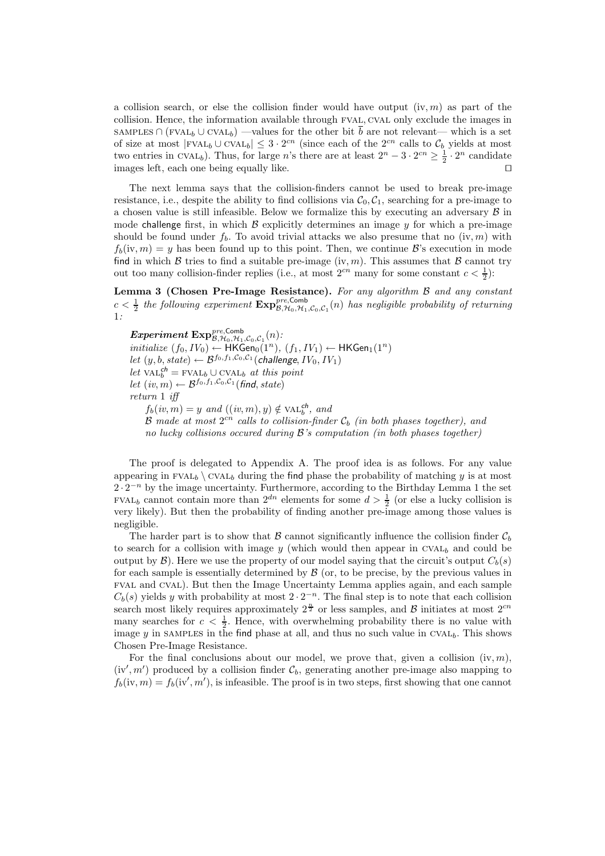a collision search, or else the collision finder would have output  $(iv, m)$  as part of the collision. Hence, the information available through fval, cval only exclude the images in SAMPLES ∩ (FVAL<sub>b</sub> ∪ CVAL<sub>b</sub>) —values for the other bit  $\overline{b}$  are not relevant— which is a set of size at most  $|\text{FVAL}_b \cup \text{CVAL}_b| \leq 3 \cdot 2^{cn}$  (since each of the  $2^{cn}$  calls to  $\mathcal{C}_b$  yields at most two entries in CVAL<sub>b</sub>). Thus, for large n's there are at least  $2^{n} - 3 \cdot 2^{cn} \ge \frac{1}{2} \cdot 2^{n}$  candidate images left, each one being equally like. ⊓⊔

The next lemma says that the collision-finders cannot be used to break pre-image resistance, i.e., despite the ability to find collisions via  $C_0, C_1$ , searching for a pre-image to a chosen value is still infeasible. Below we formalize this by executing an adversary  $B$  in mode challenge first, in which  $\beta$  explicitly determines an image y for which a pre-image should be found under  $f_b$ . To avoid trivial attacks we also presume that no  $(iv, m)$  with  $f_b(iv, m) = y$  has been found up to this point. Then, we continue  $\mathcal{B}'$ 's execution in mode find in which  $\beta$  tries to find a suitable pre-image (iv, m). This assumes that  $\beta$  cannot try out too many collision-finder replies (i.e., at most  $2^{cn}$  many for some constant  $c < \frac{1}{2}$ ):

Lemma 3 (Chosen Pre-Image Resistance). For any algorithm  $\beta$  and any constant  $c < \frac{1}{2}$  the following experiment  $\mathbf{Exp}_{\mathcal{B},\mathcal{H}_0,\mathcal{H}_1,\mathcal{C}_0,\mathcal{C}_1}^{\text{pre},\text{Comb}}(n)$  has negligible probability of returning 1:

 ${\bm Experiment ~{\rm Exp}_{\mathcal{B},\mathcal{H}_0,\mathcal{H}_1,\mathcal{C}_0,\mathcal{C}_1}^{pre, {\rm Comb}}(n)}$  :  $\textit{initialize } (f_0, IV_0) \leftarrow \textsf{HKGen}_0(1^n), (f_1, IV_1) \leftarrow \textsf{HKGen}_1(1^n)$ let  $(y, b, state) \leftarrow \mathcal{B}^{f_0, f_1, \mathcal{C}_0, \mathcal{C}_1}(\text{challenge}, IV_0, IV_1)$ let  $\widehat{\text{VAL}}_b^{\text{ch}} = \text{FVAL}_b \cup \text{CVAL}_b$  at this point let  $(iv, m) \leftarrow \mathcal{B}^{f_0, f_1, \mathcal{C}_0, \mathcal{C}_1}(\text{find}, \text{state})$ return 1 iff  $f_b(iv, m) = y$  and  $((iv, m), y) \notin \text{VAL}_{b}^{ch}$ , and  ${\mathcal B}$  made at most  $2^{cn}$  calls to collision-finder  ${\mathcal C}_b$  (in both phases together), and no lucky collisions occured during  $\mathcal{B}'$ 's computation (in both phases together)

The proof is delegated to Appendix A. The proof idea is as follows. For any value appearing in FVAL<sub>b</sub>  $\cup$  CVAL<sub>b</sub> during the find phase the probability of matching y is at most  $2 \cdot 2^{-n}$  by the image uncertainty. Furthermore, according to the Birthday Lemma 1 the set FVAL<sub>b</sub> cannot contain more than  $2^{dn}$  elements for some  $d > \frac{1}{2}$  (or else a lucky collision is very likely). But then the probability of finding another pre-image among those values is negligible.

The harder part is to show that  $\beta$  cannot significantly influence the collision finder  $C_b$ to search for a collision with image y (which would then appear in  $CVAL_b$  and could be output by  $\mathcal{B}$ ). Here we use the property of our model saying that the circuit's output  $C_b(s)$ for each sample is essentially determined by  $\beta$  (or, to be precise, by the previous values in fval and cval). But then the Image Uncertainty Lemma applies again, and each sample  $C_b(s)$  yields y with probability at most  $2 \cdot 2^{-n}$ . The final step is to note that each collision search most likely requires approximately  $2^{\frac{n}{2}}$  or less samples, and  $\beta$  initiates at most  $2^{cn}$ many searches for  $c < \frac{1}{2}$ . Hence, with overwhelming probability there is no value with image  $\gamma$  in SAMPLES in the find phase at all, and thus no such value in CVAL<sub>b</sub>. This shows Chosen Pre-Image Resistance.

For the final conclusions about our model, we prove that, given a collision  $(iv, m)$ ,  $(iv', m')$  produced by a collision finder  $\mathcal{C}_b$ , generating another pre-image also mapping to  $f_b(iv, m) = f_b(iv', m')$ , is infeasible. The proof is in two steps, first showing that one cannot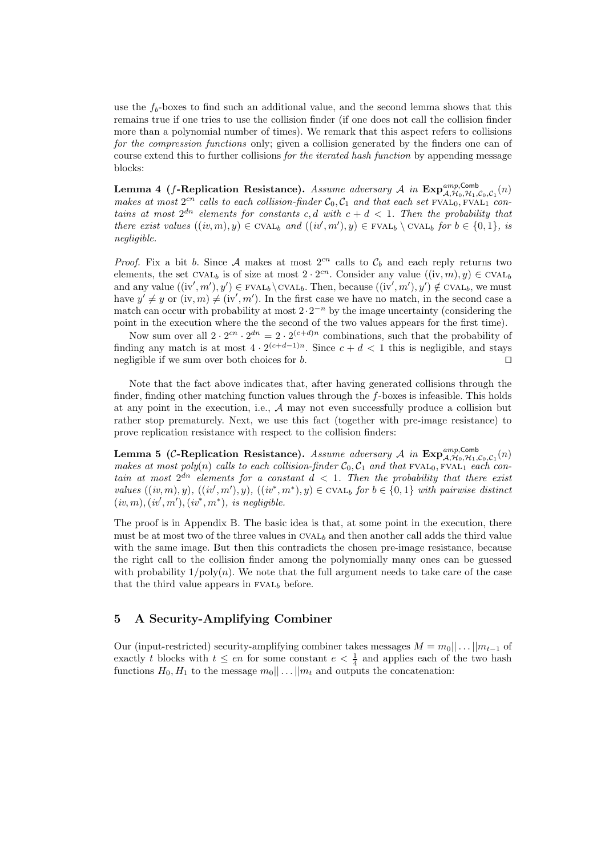use the  $f_b$ -boxes to find such an additional value, and the second lemma shows that this remains true if one tries to use the collision finder (if one does not call the collision finder more than a polynomial number of times). We remark that this aspect refers to collisions for the compression functions only; given a collision generated by the finders one can of course extend this to further collisions for the iterated hash function by appending message blocks:

Lemma 4 (f-Replication Resistance). Assume adversary A in  $\text{Exp}_{\mathcal{A},\mathcal{H}_0,\mathcal{H}_1,\mathcal{C}_0,\mathcal{C}_1}(n)$ makes at most  $2^{cn}$  calls to each collision-finder  $C_0, C_1$  and that each set FVAL<sub>0</sub>, FVAL<sub>1</sub> contains at most  $2^{dn}$  elements for constants c, d with  $c + d < 1$ . Then the probability that there exist values  $((iv, m), y) \in \text{CVAL}_{b}$  and  $((iv', m'), y) \in \text{FVAL}_{b} \setminus \text{CVAL}_{b}$  for  $b \in \{0, 1\}$ , is negligible.

*Proof.* Fix a bit b. Since A makes at most  $2^{cn}$  calls to  $\mathcal{C}_b$  and each reply returns two elements, the set CVAL<sub>b</sub> is of size at most  $2 \cdot 2^{cn}$ . Consider any value  $((iv, m), y) \in CVAL_{b}$ and any value  $((iv', m'), y') \in FVAL_{b} \setminus CVAL_{b}$ . Then, because  $((iv', m'), y') \notin CVAL_{b}$ , we must have  $y' \neq y$  or  $(iv, m) \neq (iv', m')$ . In the first case we have no match, in the second case a match can occur with probability at most  $2 \cdot 2^{-n}$  by the image uncertainty (considering the point in the execution where the the second of the two values appears for the first time).

Now sum over all  $2 \cdot 2^{cn} \cdot 2^{dn} = 2 \cdot 2^{(c+d)n}$  combinations, such that the probability of finding any match is at most  $4 \cdot 2^{(c+d-1)n}$ . Since  $c+d<1$  this is negligible, and stays negligible if we sum over both choices for *b*. □

Note that the fact above indicates that, after having generated collisions through the finder, finding other matching function values through the  $f$ -boxes is infeasible. This holds at any point in the execution, i.e., A may not even successfully produce a collision but rather stop prematurely. Next, we use this fact (together with pre-image resistance) to prove replication resistance with respect to the collision finders:

Lemma 5 (C-Replication Resistance). Assume adversary A in  $\exp_{\mathcal{A},\mathcal{H}_0,\mathcal{H}_1,\mathcal{C}_0,\mathcal{C}_1}(n)$ makes at most poly(n) calls to each collision-finder  $C_0, C_1$  and that  $FVAL_0, FVAL_1$  each contain at most  $2^{dn}$  elements for a constant  $d < 1$ . Then the probability that there exist values  $((iv, m), y)$ ,  $((iv', m'), y)$ ,  $((iv^*, m^*), y) \in \text{CVAL}_b$  for  $b \in \{0, 1\}$  with pairwise distinct  $(iv, m), (iv', m'), (iv^*, m^*),$  is negligible.

The proof is in Appendix B. The basic idea is that, at some point in the execution, there must be at most two of the three values in  $\text{CVAL}_b$  and then another call adds the third value with the same image. But then this contradicts the chosen pre-image resistance, because the right call to the collision finder among the polynomially many ones can be guessed with probability  $1/poly(n)$ . We note that the full argument needs to take care of the case that the third value appears in  $FVAL_{b}$  before.

# 5 A Security-Amplifying Combiner

Our (input-restricted) security-amplifying combiner takes messages  $M = m_0 || \dots || m_{t-1}$  of exactly t blocks with  $t \le en$  for some constant  $e < \frac{1}{4}$  and applies each of the two hash functions  $H_0, H_1$  to the message  $m_0 || \dots || m_t$  and outputs the concatenation: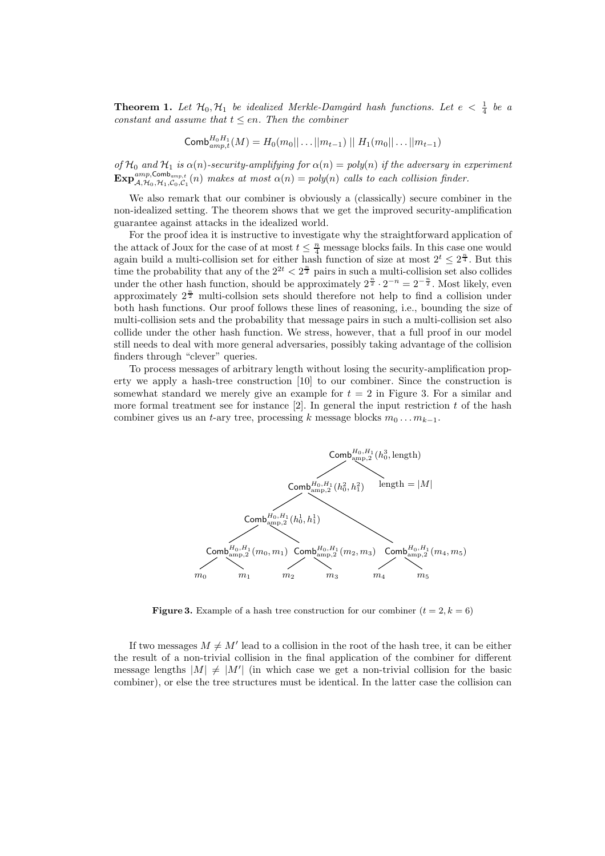**Theorem 1.** Let  $\mathcal{H}_0$ ,  $\mathcal{H}_1$  be idealized Merkle-Damgard hash functions. Let  $e < \frac{1}{4}$  be a constant and assume that  $t \le en$ . Then the combiner

Comb
$$
\textsf{Comb}_{amp,t}^{H_0H_1}(M) = H_0(m_0||\dots||m_{t-1}) || H_1(m_0||\dots||m_{t-1})
$$

of  $\mathcal{H}_0$  and  $\mathcal{H}_1$  is  $\alpha(n)$ -security-amplifying for  $\alpha(n) = poly(n)$  if the adversary in experiment  $\text{Exp}_{\mathcal{A},\mathcal{H}_0,\mathcal{H}_1,\mathcal{C}_0,\mathcal{C}_1}^{\text{amp},\text{Comb}_{amp,t}}(n)$  makes at most  $\alpha(n) = poly(n)$  calls to each collision finder.

We also remark that our combiner is obviously a (classically) secure combiner in the non-idealized setting. The theorem shows that we get the improved security-amplification guarantee against attacks in the idealized world.

For the proof idea it is instructive to investigate why the straightforward application of the attack of Joux for the case of at most  $t \leq \frac{n}{4}$  message blocks fails. In this case one would again build a multi-collision set for either hash function of size at most  $2^t \leq 2^{\frac{n}{4}}$ . But this time the probability that any of the  $2^{2t} < 2^{\frac{n}{2}}$  pairs in such a multi-collision set also collides under the other hash function, should be approximately  $2^{\frac{n}{2}} \cdot 2^{-n} = 2^{-\frac{n}{2}}$ . Most likely, even approximately  $2^{\frac{n}{2}}$  multi-collsion sets should therefore not help to find a collision under both hash functions. Our proof follows these lines of reasoning, i.e., bounding the size of multi-collision sets and the probability that message pairs in such a multi-collision set also collide under the other hash function. We stress, however, that a full proof in our model still needs to deal with more general adversaries, possibly taking advantage of the collision finders through "clever" queries.

To process messages of arbitrary length without losing the security-amplification property we apply a hash-tree construction [10] to our combiner. Since the construction is somewhat standard we merely give an example for  $t = 2$  in Figure 3. For a similar and more formal treatment see for instance  $[2]$ . In general the input restriction t of the hash combiner gives us an t-ary tree, processing k message blocks  $m_0 \dots m_{k-1}$ .



**Figure 3.** Example of a hash tree construction for our combiner  $(t = 2, k = 6)$ 

If two messages  $M \neq M'$  lead to a collision in the root of the hash tree, it can be either the result of a non-trivial collision in the final application of the combiner for different message lengths  $|M| \neq |M'|$  (in which case we get a non-trivial collision for the basic combiner), or else the tree structures must be identical. In the latter case the collision can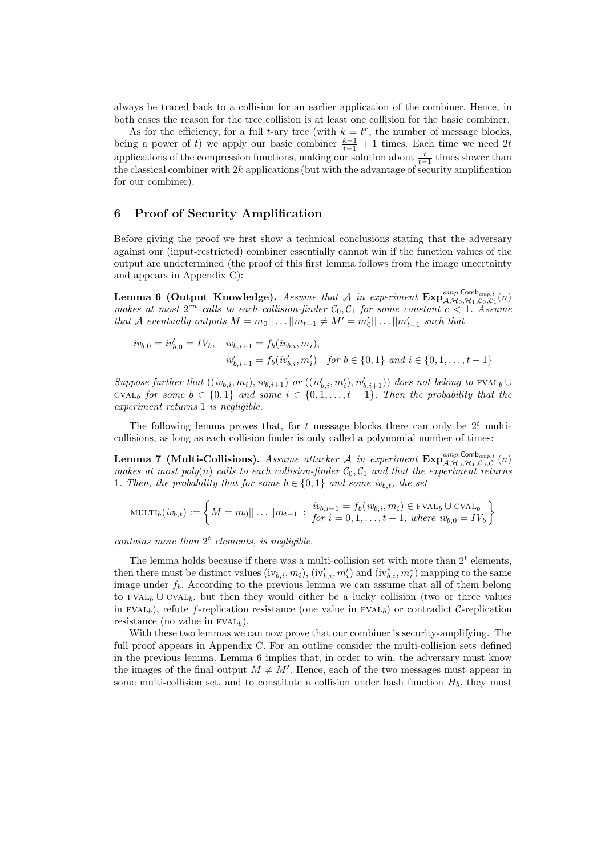always be traced back to a collision for an earlier application of the combiner. Hence, in both cases the reason for the tree collision is at least one collision for the basic combiner.

As for the efficiency, for a full t-ary tree (with  $k = t^r$ , the number of message blocks, being a power of t) we apply our basic combiner  $\frac{k-1}{t-1} + 1$  times. Each time we need 2t applications of the compression functions, making our solution about  $\frac{t}{t-1}$  times slower than the classical combiner with  $2k$  applications (but with the advantage of security amplification for our combiner).

## 6 Proof of Security Amplification

Before giving the proof we first show a technical conclusions stating that the adversary against our (input-restricted) combiner essentially cannot win if the function values of the output are undetermined (the proof of this first lemma follows from the image uncertainty and appears in Appendix C):

**Lemma 6 (Output Knowledge).** Assume that A in experiment  $\mathbf{Exp}_{\mathcal{A},\mathcal{H}_0,\mathcal{H}_1,\mathcal{C}_0,\mathcal{C}_1}^{\text{amp},\mathsf{Cmb}_{amp,t}}(n)$ makes at most  $2^{cn}$  calls to each collision-finder  $C_0, C_1$  for some constant  $c < 1$ . Assume that A eventually outputs  $M = m_0 || \dots || m_{t-1} \neq M' = m'_0 || \dots || m'_{t-1}$  such that

$$
iv_{b,0} = iv'_{b,0} = IV_b, \quad iv_{b,i+1} = f_b(iv_{b,i}, m_i),
$$
  

$$
iv'_{b,i+1} = f_b(iv'_{b,i}, m'_i) \quad \text{for } b \in \{0, 1\} \text{ and } i \in \{0, 1, \dots, t-1\}
$$

Suppose further that  $((iv_{b,i}, m_i), iv_{b,i+1})$  or  $((iv'_{b,i}, m'_i), iv'_{b,i+1}))$  does not belong to FVAL<sub>b</sub>  $\cup$ CVAL<sub>b</sub> for some  $b \in \{0,1\}$  and some  $i \in \{0,1,\ldots,t-1\}$ . Then the probability that the experiment returns 1 is negligible.

The following lemma proves that, for t message blocks there can only be  $2<sup>t</sup>$  multicollisions, as long as each collision finder is only called a polynomial number of times:

**Lemma 7** (Multi-Collisions). Assume attacker A in experiment  $\mathbf{Exp}_{\mathcal{A},\mathcal{H}_0,\mathcal{H}_1,\mathcal{C}_0,\mathcal{C}_1}^{\text{amp},\mathsf{Comb}_{amp,t}}(n)$ makes at most poly(n) calls to each collision-finder  $C_0, C_1$  and that the experiment returns 1. Then, the probability that for some  $b \in \{0,1\}$  and some  $iv_{b,t}$ , the set

MULTI<sub>b</sub>
$$
(iv_{b,t}) := \left\{ M = m_0 || \dots || m_{t-1} : i v_{b,i+1} = f_b(iv_{b,i}, m_i) \in \text{FVAL}_b \cup \text{CVAL}_b \right\}
$$
  
for  $i = 0, 1, ..., t-1$ , where  $iv_{b,0} = IV_b$ 

contains more than  $2<sup>t</sup>$  elements, is negligible.

The lemma holds because if there was a multi-collision set with more than  $2<sup>t</sup>$  elements, then there must be distinct values  $(iv_{b,i}, m_i)$ ,  $(iv'_{b,i}, m'_i)$  and  $(iv^*_{b,i}, m^*_i)$  mapping to the same image under  $f_b$ . According to the previous lemma we can assume that all of them belong to FVAL<sub>b</sub> ∪ CVAL<sub>b</sub>, but then they would either be a lucky collision (two or three values in FVAL<sub>b</sub>), refute f-replication resistance (one value in FVAL<sub>b</sub>) or contradict C-replication resistance (no value in  $FVAL_{h}$ ).

With these two lemmas we can now prove that our combiner is security-amplifying. The full proof appears in Appendix C. For an outline consider the multi-collision sets defined in the previous lemma. Lemma 6 implies that, in order to win, the adversary must know the images of the final output  $M \neq M'$ . Hence, each of the two messages must appear in some multi-collision set, and to constitute a collision under hash function  $H_b$ , they must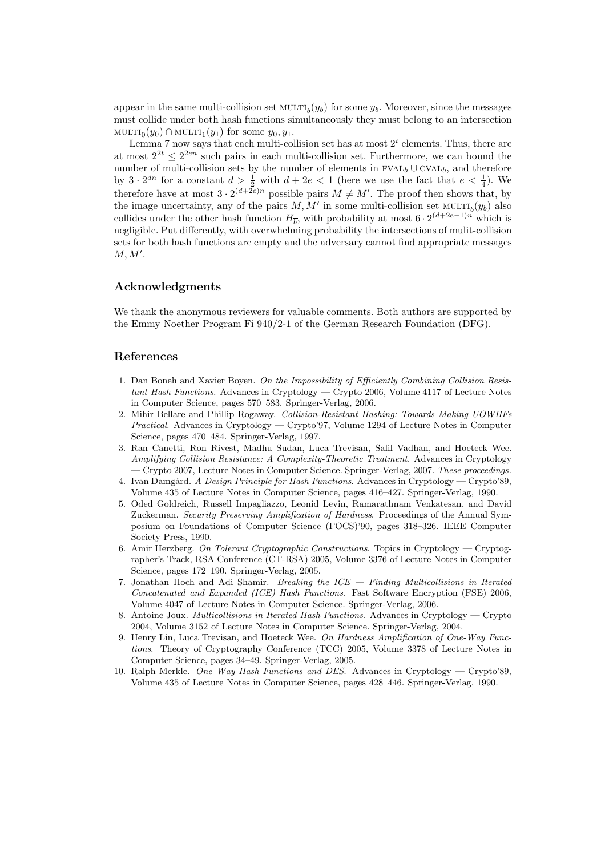appear in the same multi-collision set  $\text{MULTI}_b(y_b)$  for some  $y_b$ . Moreover, since the messages must collide under both hash functions simultaneously they must belong to an intersection  $\text{MULTI}_0(y_0) \cap \text{MULTI}_1(y_1)$  for some  $y_0, y_1$ .

Lemma 7 now says that each multi-collision set has at most  $2<sup>t</sup>$  elements. Thus, there are at most  $2^{2t} \leq 2^{2en}$  such pairs in each multi-collision set. Furthermore, we can bound the number of multi-collision sets by the number of elements in  $FVAL_{b} \cup \text{CVAL}_{b}$ , and therefore by  $3 \cdot 2^{dn}$  for a constant  $d > \frac{1}{2}$  with  $d + 2e < 1$  (here we use the fact that  $e < \frac{1}{4}$ ). We therefore have at most  $3 \cdot 2^{(d+2e)n}$  possible pairs  $M \neq M'$ . The proof then shows that, by the image uncertainty, any of the pairs  $M, M'$  in some multi-collision set  $\text{MULTI}_{b}(y_{b})$  also collides under the other hash function  $H_{\overline{b}}$ , with probability at most  $6 \cdot 2^{(d+2e-1)n}$  which is negligible. Put differently, with overwhelming probability the intersections of mulit-collision sets for both hash functions are empty and the adversary cannot find appropriate messages  $M, M'$ .

# Acknowledgments

We thank the anonymous reviewers for valuable comments. Both authors are supported by the Emmy Noether Program Fi 940/2-1 of the German Research Foundation (DFG).

### References

- 1. Dan Boneh and Xavier Boyen. On the Impossibility of Efficiently Combining Collision Resistant Hash Functions. Advances in Cryptology — Crypto 2006, Volume 4117 of Lecture Notes in Computer Science, pages 570–583. Springer-Verlag, 2006.
- 2. Mihir Bellare and Phillip Rogaway. Collision-Resistant Hashing: Towards Making UOWHFs Practical. Advances in Cryptology — Crypto'97, Volume 1294 of Lecture Notes in Computer Science, pages 470–484. Springer-Verlag, 1997.
- 3. Ran Canetti, Ron Rivest, Madhu Sudan, Luca Trevisan, Salil Vadhan, and Hoeteck Wee. Amplifying Collision Resistance: A Complexity-Theoretic Treatment. Advances in Cryptology — Crypto 2007, Lecture Notes in Computer Science. Springer-Verlag, 2007. These proceedings.
- 4. Ivan Damgård. A Design Principle for Hash Functions. Advances in Cryptology Crypto'89, Volume 435 of Lecture Notes in Computer Science, pages 416–427. Springer-Verlag, 1990.
- 5. Oded Goldreich, Russell Impagliazzo, Leonid Levin, Ramarathnam Venkatesan, and David Zuckerman. Security Preserving Amplification of Hardness. Proceedings of the Annual Symposium on Foundations of Computer Science (FOCS)'90, pages 318–326. IEEE Computer Society Press, 1990.
- 6. Amir Herzberg. On Tolerant Cryptographic Constructions. Topics in Cryptology Cryptographer's Track, RSA Conference (CT-RSA) 2005, Volume 3376 of Lecture Notes in Computer Science, pages 172–190. Springer-Verlag, 2005.
- 7. Jonathan Hoch and Adi Shamir. Breaking the  $ICE Finding Multicollisions in Iterated$ Concatenated and Expanded (ICE) Hash Functions. Fast Software Encryption (FSE) 2006, Volume 4047 of Lecture Notes in Computer Science. Springer-Verlag, 2006.
- 8. Antoine Joux. Multicollisions in Iterated Hash Functions. Advances in Cryptology Crypto 2004, Volume 3152 of Lecture Notes in Computer Science. Springer-Verlag, 2004.
- 9. Henry Lin, Luca Trevisan, and Hoeteck Wee. On Hardness Amplification of One-Way Functions. Theory of Cryptography Conference (TCC) 2005, Volume 3378 of Lecture Notes in Computer Science, pages 34–49. Springer-Verlag, 2005.
- 10. Ralph Merkle. One Way Hash Functions and DES. Advances in Cryptology Crypto'89, Volume 435 of Lecture Notes in Computer Science, pages 428–446. Springer-Verlag, 1990.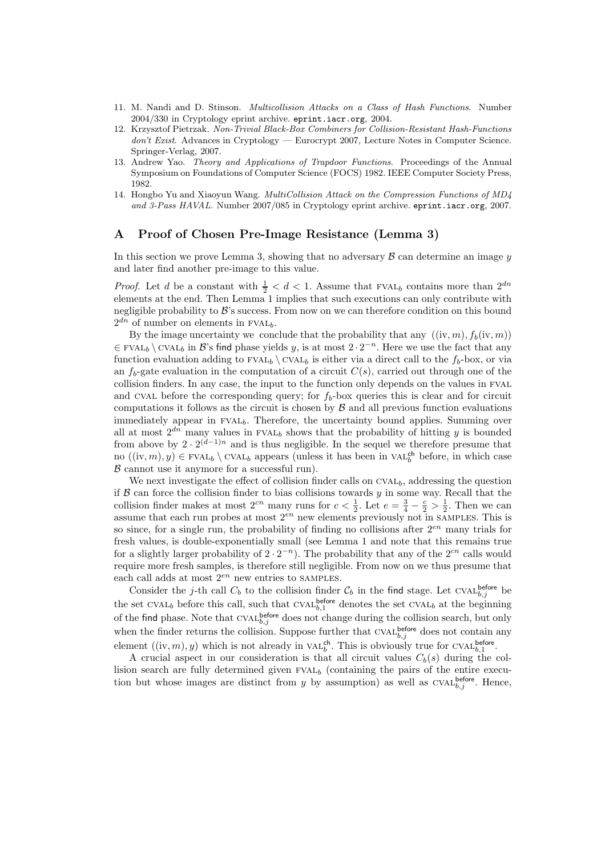- 11. M. Nandi and D. Stinson. Multicollision Attacks on a Class of Hash Functions. Number 2004/330 in Cryptology eprint archive. eprint.iacr.org, 2004.
- 12. Krzysztof Pietrzak. Non-Trivial Black-Box Combiners for Collision-Resistant Hash-Functions don't Exist. Advances in Cryptology — Eurocrypt 2007, Lecture Notes in Computer Science. Springer-Verlag, 2007.
- 13. Andrew Yao. Theory and Applications of Trapdoor Functions. Proceedings of the Annual Symposium on Foundations of Computer Science (FOCS) 1982. IEEE Computer Society Press, 1982.
- 14. Hongbo Yu and Xiaoyun Wang. MultiCollision Attack on the Compression Functions of MD4 and 3-Pass HAVAL. Number 2007/085 in Cryptology eprint archive. eprint.iacr.org, 2007.

## A Proof of Chosen Pre-Image Resistance (Lemma 3)

In this section we prove Lemma 3, showing that no adversary  $\beta$  can determine an image  $\gamma$ and later find another pre-image to this value.

*Proof.* Let d be a constant with  $\frac{1}{2} < d < 1$ . Assume that FVAL<sub>b</sub> contains more than  $2^{dn}$ elements at the end. Then Lemma 1 implies that such executions can only contribute with negligible probability to  $\mathcal{B}$ 's success. From now on we can therefore condition on this bound  $2^{dn}$  of number on elements in FVAL<sub>b</sub>.

By the image uncertainty we conclude that the probability that any  $((iv, m), f_b(iv, m))$  $\in$  FVAL<sub>b</sub> \ CVAL<sub>b</sub> in B's find phase yields y, is at most  $2 \cdot 2^{-n}$ . Here we use the fact that any function evaluation adding to FVAL<sub>b</sub> \ CVAL<sub>b</sub> is either via a direct call to the  $f_b$ -box, or via an  $f_b$ -gate evaluation in the computation of a circuit  $C(s)$ , carried out through one of the collision finders. In any case, the input to the function only depends on the values in fval and CVAL before the corresponding query; for  $f<sub>b</sub>$ -box queries this is clear and for circuit computations it follows as the circuit is chosen by  $\beta$  and all previous function evaluations immediately appear in FVAL<sub>b</sub>. Therefore, the uncertainty bound applies. Summing over all at most  $2^{dn}$  many values in FVAL<sub>b</sub> shows that the probability of hitting y is bounded from above by  $2 \cdot 2^{(d-1)n}$  and is thus negligible. In the sequel we therefore presume that no  $((iv, m), y) \in FVAL_{b} \setminus CVAL_{b}$  appears (unless it has been in  $VAL_{b}^{ch}$  before, in which case  $\mathcal B$  cannot use it anymore for a successful run).

We next investigate the effect of collision finder calls on  $\text{cvat}_b$ , addressing the question if  $\beta$  can force the collision finder to bias collisions towards y in some way. Recall that the collision finder makes at most  $2^{cn}$  many runs for  $c < \frac{1}{2}$ . Let  $e = \frac{3}{4} - \frac{c}{2} > \frac{1}{2}$ . Then we can assume that each run probes at most  $2^{en}$  new elements previously not in SAMPLES. This is so since, for a single run, the probability of finding no collisions after  $2^{en}$  many trials for fresh values, is double-exponentially small (see Lemma 1 and note that this remains true for a slightly larger probability of  $2 \cdot 2^{-n}$ ). The probability that any of the  $2^{cn}$  calls would require more fresh samples, is therefore still negligible. From now on we thus presume that each call adds at most  $2^{en}$  new entries to SAMPLES.

Consider the j-th call  $C_b$  to the collision finder  $C_b$  in the find stage. Let CVAL<sup>before</sup> be the set CVAL<sub>b</sub> before this call, such that CVAL<sup>before</sup> denotes the set CVAL<sub>b</sub> at the beginning of the find phase. Note that  $\text{CVAL}_{b,j}^{\text{before}}$  does not change during the collision search, but only when the finder returns the collision. Suppose further that  $\text{CVAL}_{b,j}^{\text{before}}$  does not contain any element  $((iv, m), y)$  which is not already in  $VAL_{b}^{ch}$ . This is obviously true for CVAL<sup>before</sup>.

A crucial aspect in our consideration is that all circuit values  $C_b(s)$  during the collision search are fully determined given  $FVAL_{b}$  (containing the pairs of the entire execution but whose images are distinct from y by assumption) as well as  $CVAL_{b,j}^{before}$ . Hence,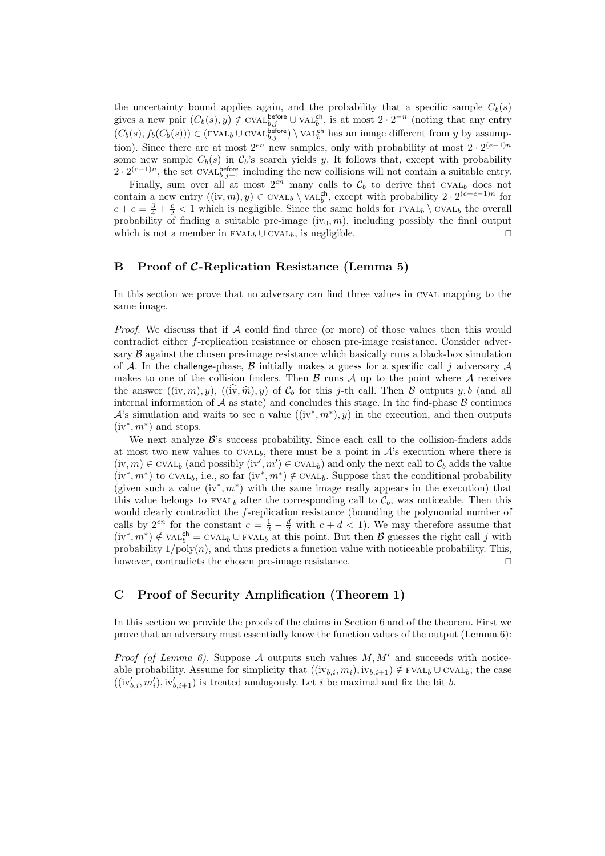the uncertainty bound applies again, and the probability that a specific sample  $C_b(s)$ gives a new pair  $(C_b(s), y) \notin \text{CVAL}_{b,j}^{\text{before}} \cup \text{VAL}_{b}^{\text{ch}}$ , is at most  $2 \cdot 2^{-n}$  (noting that any entry  $(C_b(s), f_b(C_b(s))) \in (\text{FVAL}_b \cup \text{CVAL}_{b,j}^{\text{before}}) \setminus \text{VAL}_b^{\text{ch}}$  has an image different from y by assumption). Since there are at most  $2^{en}$  new samples, only with probability at most  $2 \cdot 2^{(e-1)n}$ some new sample  $C_b(s)$  in  $\mathcal{C}_b$ 's search yields y. It follows that, except with probability  $2 \cdot 2^{(e-1)n}$ , the set CVAL<sup>before</sup> including the new collisions will not contain a suitable entry.

Finally, sum over all at most  $2^{cn}$  many calls to  $\mathcal{C}_b$  to derive that CVAL<sub>b</sub> does not contain a new entry  $((iv, m), y) \in \text{CVAL}_b \setminus \text{VAL}_b^{\text{ch}}$ , except with probability  $2 \cdot 2^{(c+e-1)n}$  for  $c + e = \frac{3}{4} + \frac{c}{2} < 1$  which is negligible. Since the same holds for FVAL<sub>b</sub>  $\setminus$  CVAL<sub>b</sub> the overall probability of finding a suitable pre-image  $(iv_0, m)$ , including possibly the final output which is not a member in  $FVAL_{b} \cup \text{CVAL}_{b}$ , is negligible. □

# B Proof of C-Replication Resistance (Lemma 5)

In this section we prove that no adversary can find three values in CVAL mapping to the same image.

*Proof.* We discuss that if  $A$  could find three (or more) of those values then this would contradict either f-replication resistance or chosen pre-image resistance. Consider adversary  $\beta$  against the chosen pre-image resistance which basically runs a black-box simulation of A. In the challenge-phase, B initially makes a guess for a specific call j adversary A makes to one of the collision finders. Then  $\beta$  runs  $\mathcal A$  up to the point where  $\mathcal A$  receives the answer  $((iv, m), y)$ ,  $((iv, \hat{m}), y)$  of  $\mathcal{C}_b$  for this j-th call. Then B outputs y, b (and all internal information of  $A$  as state) and concludes this stage. In the find-phase  $B$  continues A's simulation and waits to see a value  $((iv^*, m^*), y)$  in the execution, and then outputs  $(iv^*, m^*)$  and stops.

We next analyze  $\mathcal{B}$ 's success probability. Since each call to the collision-finders adds at most two new values to  $CVAL_b$ , there must be a point in  $\mathcal{A}$ 's execution where there is  $(iv, m) \in \text{CVAL}_b$  (and possibly  $(iv', m') \in \text{CVAL}_b$ ) and only the next call to  $\mathcal{C}_b$  adds the value  $(iv^*, m^*)$  to CVAL<sub>b</sub>, i.e., so far  $(iv^*, m^*) \notin CVAL_{b}$ . Suppose that the conditional probability (given such a value  $(iv^*, m^*)$  with the same image really appears in the execution) that this value belongs to  $FVAL_{b}$  after the corresponding call to  $\mathcal{C}_{b}$ , was noticeable. Then this would clearly contradict the f-replication resistance (bounding the polynomial number of calls by  $2^{cn}$  for the constant  $c = \frac{1}{2} - \frac{d}{2}$  with  $c + d < 1$ ). We may therefore assume that  $(iv^*, m^*) \notin \text{VAL}_{b}^{\text{ch}} = \text{CVAL}_{b} \cup \text{FVAL}_{b}^{\text{ch}}$  at this point. But then B guesses the right call j with probability  $1/\text{poly}(n)$ , and thus predicts a function value with noticeable probability. This, however, contradicts the chosen pre-image resistance. ⊓⊔

## C Proof of Security Amplification (Theorem 1)

In this section we provide the proofs of the claims in Section 6 and of the theorem. First we prove that an adversary must essentially know the function values of the output (Lemma 6):

*Proof (of Lemma 6).* Suppose A outputs such values  $M, M'$  and succeeds with noticeable probability. Assume for simplicity that  $((iv_{b,i}, m_i), iv_{b,i+1}) \notin FVAL_{b} \cup CVAL_{b}$ ; the case  $((iv'_{b,i}, m'_{i}), iv'_{b,i+1})$  is treated analogously. Let i be maximal and fix the bit b.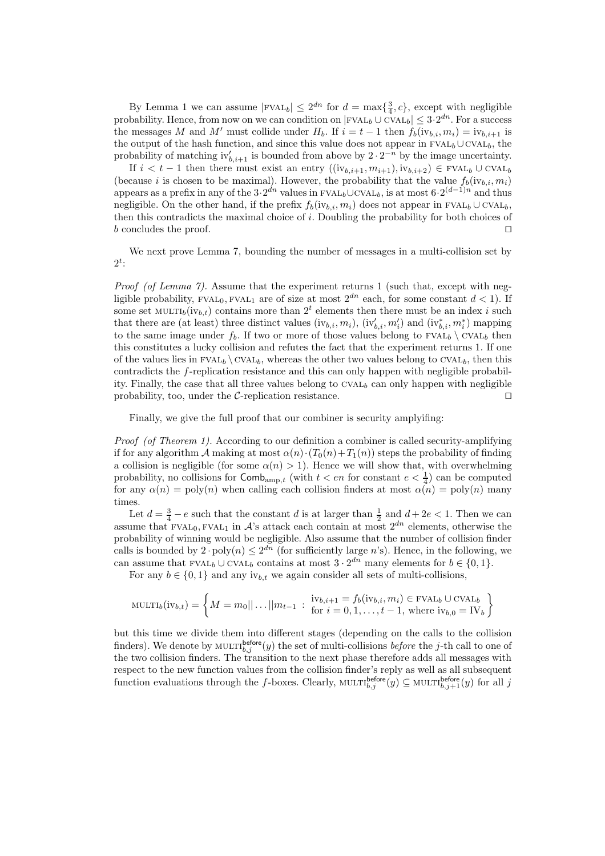By Lemma 1 we can assume  $|\text{FVAL}_b| \leq 2^{dn}$  for  $d = \max\{\frac{3}{4}, c\}$ , except with negligible probability. Hence, from now on we can condition on  $|\text{FVAL}_b \cup \text{CVAL}_b| \leq 3 \cdot 2^{dn}$ . For a success the messages M and M' must collide under  $H_b$ . If  $i = t - 1$  then  $f_b(iv_{b,i}, m_i) = iv_{b,i+1}$  is the output of the hash function, and since this value does not appear in  $FVAL_{b}\cup CVAL_{b}$ , the probability of matching  $iv'_{b,i+1}$  is bounded from above by  $2 \cdot 2^{-n}$  by the image uncertainty.

If  $i < t - 1$  then there must exist an entry  $((iv_{b,i+1}, m_{i+1}), iv_{b,i+2}) \in FVAL_{b} \cup CVAL_{b}$ (because i is chosen to be maximal). However, the probability that the value  $f_b(iv_{b,i}, m_i)$ appears as a prefix in any of the  $3 \cdot 2^{dn}$  values in FVAL<sub>b</sub>∪CVAL<sub>b</sub>, is at most  $6 \cdot 2^{(d-1)n}$  and thus negligible. On the other hand, if the prefix  $f_b(iv_{b,i}, m_i)$  does not appear in FVAL<sub>b</sub> ∪ CVAL<sub>b</sub>, then this contradicts the maximal choice of i. Doubling the probability for both choices of b concludes the proof. ⊓⊔

We next prove Lemma 7, bounding the number of messages in a multi-collision set by  $2^t$ :

Proof (of Lemma 7). Assume that the experiment returns 1 (such that, except with negligible probability,  $FVAL_0$ ,  $FVAL_1$  are of size at most  $2^{dn}$  each, for some constant  $d < 1$ ). If some set MULTI<sub>b</sub>(iv<sub>b,t</sub>) contains more than  $2<sup>t</sup>$  elements then there must be an index *i* such that there are (at least) three distinct values  $(iv_{b,i}, m_i)$ ,  $(iv'_{b,i}, m'_i)$  and  $(iv^*_{b,i}, m^*_{i})$  mapping to the same image under  $f_b$ . If two or more of those values belong to FVAL<sub>b</sub>  $\setminus$  CVAL<sub>b</sub> then this constitutes a lucky collision and refutes the fact that the experiment returns 1. If one of the values lies in  $FVAL_{b} \ CVAL_{b}$ , whereas the other two values belong to CVAL<sub>b</sub>, then this contradicts the f-replication resistance and this can only happen with negligible probability. Finally, the case that all three values belong to  $CVAL<sub>b</sub>$  can only happen with negligible probability, too, under the C-replication resistance. □

Finally, we give the full proof that our combiner is security amplyifing:

Proof (of Theorem 1). According to our definition a combiner is called security-amplifying if for any algorithm A making at most  $\alpha(n) \cdot (T_0(n) + T_1(n))$  steps the probability of finding a collision is negligible (for some  $\alpha(n) > 1$ ). Hence we will show that, with overwhelming probability, no collisions for  $\textsf{Comb}_{amp,t}$  (with  $t < en$  for constant  $e < \frac{1}{4}$ ) can be computed for any  $\alpha(n) = \text{poly}(n)$  when calling each collision finders at most  $\alpha(n) = \text{poly}(n)$  many times.

Let  $d = \frac{3}{4} - e$  such that the constant d is at larger than  $\frac{1}{2}$  and  $d + 2e < 1$ . Then we can assume that FVAL<sub>0</sub>, FVAL<sub>1</sub> in  $\mathcal{A}$ 's attack each contain at most  $2^{dn}$  elements, otherwise the probability of winning would be negligible. Also assume that the number of collision finder calls is bounded by  $2 \cdot \text{poly}(n) \leq 2^{dn}$  (for sufficiently large *n*'s). Hence, in the following, we can assume that  $FVAL_{b} \cup CVAL_{b}$  contains at most  $3 \cdot 2^{dn}$  many elements for  $b \in \{0, 1\}$ .

For any  $b \in \{0, 1\}$  and any  $iv_{b,t}$  we again consider all sets of multi-collisions,

MULTI<sub>b</sub>(iv<sub>b,t</sub>) = 
$$
\left\{ M = m_0 || \dots || m_{t-1} : \begin{array}{l} \text{iv}_{b,i+1} = f_b(\text{iv}_{b,i}, m_i) \in \text{FVAL}_b \cup \text{CVAL}_b \\ \text{for } i = 0, 1, \dots, t-1, \text{ where } \text{iv}_{b,0} = \text{IV}_b \end{array} \right\}
$$

but this time we divide them into different stages (depending on the calls to the collision finders). We denote by  $\text{MULTL}_{b,j}^{\text{before}}(y)$  the set of multi-collisions *before* the *j*-th call to one of the two collision finders. The transition to the next phase therefore adds all messages with respect to the new function values from the collision finder's reply as well as all subsequent function evaluations through the f-boxes. Clearly,  $\text{MULTI}_{b,j}^{\text{before}}(y) \subseteq \text{MULTI}_{b,j+1}^{\text{before}}(y)$  for all j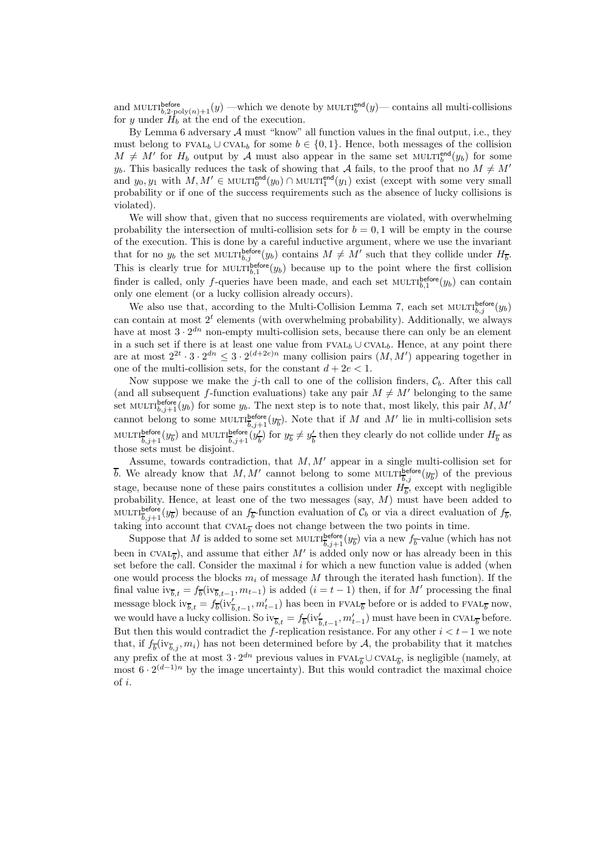and MULTI<sup>before</sup>  $b_2 \text{poly}(n)+1}(y)$  —which we denote by MULTI<sup>end</sup> $(y)$ — contains all multi-collisions for y under  $H_b$  at the end of the execution.

By Lemma  $6$  adversary  $A$  must "know" all function values in the final output, i.e., they must belong to FVAL<sub>b</sub> ∪ CVAL<sub>b</sub> for some  $b \in \{0, 1\}$ . Hence, both messages of the collision  $M \neq M'$  for  $H_b$  output by A must also appear in the same set MULTI<sub>b</sub><sup>end</sup> $(y_b)$  for some  $y<sub>b</sub>$ . This basically reduces the task of showing that A fails, to the proof that no  $M \neq M'$ and  $y_0, y_1$  with  $M, M' \in \text{MULTI}_0^{\text{end}}(y_0) \cap \text{MULTI}_1^{\text{end}}(y_1)$  exist (except with some very small probability or if one of the success requirements such as the absence of lucky collisions is violated).

We will show that, given that no success requirements are violated, with overwhelming probability the intersection of multi-collision sets for  $b = 0, 1$  will be empty in the course of the execution. This is done by a careful inductive argument, where we use the invariant that for no  $y_b$  the set MULTI $b_{b,j}^{before}(y_b)$  contains  $M \neq M'$  such that they collide under  $H_{\overline{b}}$ . This is clearly true for  $\text{MULTI}_{b,1}^{\text{before}}(y_b)$  because up to the point where the first collision finder is called, only f-queries have been made, and each set  $\text{MULTI}_{b,1}^{\text{before}}(y_b)$  can contain only one element (or a lucky collision already occurs).

We also use that, according to the Multi-Collision Lemma 7, each set  $\text{MULTI}_{b,j}^{\text{before}}(y_b)$ can contain at most  $2<sup>t</sup>$  elements (with overwhelming probability). Additionally, we always have at most  $3 \cdot 2^{dn}$  non-empty multi-collision sets, because there can only be an element in a such set if there is at least one value from  $\text{FVAL}_{b} \cup \text{CVAL}_{b}$ . Hence, at any point there are at most  $2^{2t} \cdot 3 \cdot 2^{dn} \leq 3 \cdot 2^{(d+2e)n}$  many collision pairs  $(M, M')$  appearing together in one of the multi-collision sets, for the constant  $d + 2e < 1$ .

Now suppose we make the j-th call to one of the collision finders,  $\mathcal{C}_b$ . After this call (and all subsequent f-function evaluations) take any pair  $M \neq M'$  belonging to the same set MULTI $b_{i,j+1}^{before}(y_b)$  for some  $y_b$ . The next step is to note that, most likely, this pair  $M, M'$ cannot belong to some  $\text{MULTI}_{\overline{b},j+1}^{\text{before}}(y_{\overline{b}})$ . Note that if M and M' lie in multi-collision sets  $\text{MULTI}^{\text{before}}_{\overline{b},j+1}(y_{\overline{b}}) \text{ and } \text{MULTI}^{\text{before}}_{\overline{b},j+1}(\overline{y^{\prime}_{\overline{b}}})$  $\frac{dy}{dt}$  for  $y_{\overline{b}} \neq y'_{\overline{b}}$  $\frac{7}{b}$  then they clearly do not collide under  $H_{\overline{b}}$  as those sets must be disjoint.

Assume, towards contradiction, that  $M, M'$  appear in a single multi-collision set for b. We already know that M, M' cannot belong to some MULTI $\frac{b}{b,j}$  of the previous stage, because none of these pairs constitutes a collision under  $H_{\overline{b}}$ , except with negligible probability. Hence, at least one of the two messages (say, M) must have been added to MULTI $\frac{\text{before}}{b}$ ,  $y_b$  because of an  $f_b$ -function evaluation of  $\mathcal{C}_b$  or via a direct evaluation of  $f_b$ , taking into account that CVAL<sub> $\overline{b}$ </sub> does not change between the two points in time.

Suppose that M is added to some set  $\text{MULTI}_{\overline{b},j+1}^{\text{before}}(y_{\overline{b}})$  via a new  $f_{\overline{b}}$ -value (which has not been in CVAL<sub>b</sub>), and assume that either M' is added only now or has already been in this set before the call. Consider the maximal  $i$  for which a new function value is added (when one would process the blocks  $m_i$  of message M through the iterated hash function). If the final value  $iv_{\overline{b},t} = f_{\overline{b}}(iv_{\overline{b},t-1},m_{t-1})$  is added  $(i=t-1)$  then, if for M' processing the final message block  $iv_{\overline{b},t} = f_{\overline{b}}(iv'_{\overline{b},t-1},m'_{t-1})$  has been in FVAL<sub> $\overline{b}$ </sub> before or is added to FVAL<sub> $\overline{b}$ </sub> now, we would have a lucky collision. So  $iv_{\overline{b},t} = f_{\overline{b}}(iv'_{\overline{b},t-1},m'_{t-1})$  must have been in CVAL<sub> $\overline{b}$ </sub> before. But then this would contradict the f-replication resistance. For any other  $i < t-1$  we note that, if  $f_{\overline{b}}(iv_{\overline{b},j}, m_i)$  has not been determined before by A, the probability that it matches any prefix of the at most  $3 \cdot 2^{dn}$  previous values in FVAL<sub> $\overline{b}$ </sub>  $\cup$  CVAL<sub> $\overline{b}$ </sub>, is negligible (namely, at most  $6 \cdot 2^{(d-1)n}$  by the image uncertainty). But this would contradict the maximal choice of i.